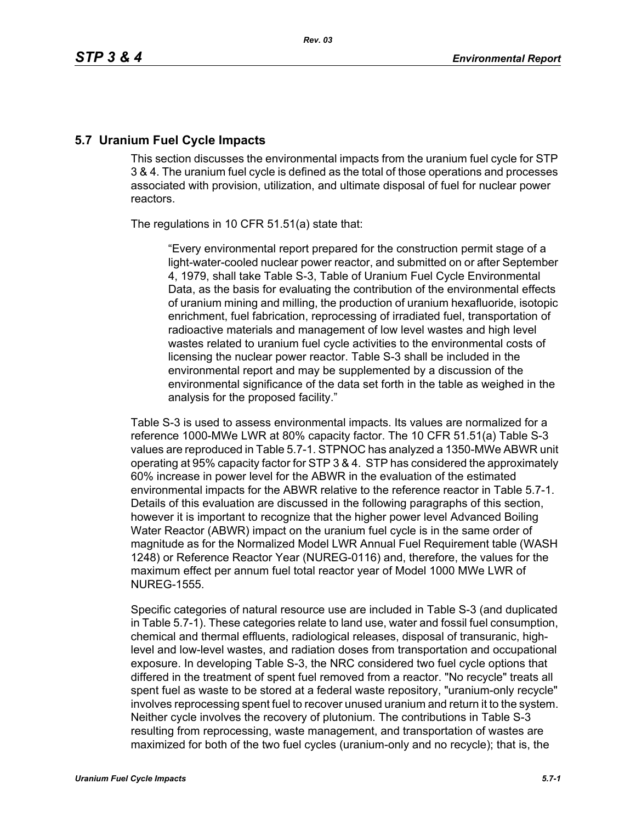# **5.7 Uranium Fuel Cycle Impacts**

This section discusses the environmental impacts from the uranium fuel cycle for STP 3 & 4. The uranium fuel cycle is defined as the total of those operations and processes associated with provision, utilization, and ultimate disposal of fuel for nuclear power reactors.

The regulations in 10 CFR 51.51(a) state that:

"Every environmental report prepared for the construction permit stage of a light-water-cooled nuclear power reactor, and submitted on or after September 4, 1979, shall take Table S-3, Table of Uranium Fuel Cycle Environmental Data, as the basis for evaluating the contribution of the environmental effects of uranium mining and milling, the production of uranium hexafluoride, isotopic enrichment, fuel fabrication, reprocessing of irradiated fuel, transportation of radioactive materials and management of low level wastes and high level wastes related to uranium fuel cycle activities to the environmental costs of licensing the nuclear power reactor. Table S-3 shall be included in the environmental report and may be supplemented by a discussion of the environmental significance of the data set forth in the table as weighed in the analysis for the proposed facility."

Table S-3 is used to assess environmental impacts. Its values are normalized for a reference 1000-MWe LWR at 80% capacity factor. The 10 CFR 51.51(a) Table S-3 values are reproduced in Table 5.7-1. STPNOC has analyzed a 1350-MWe ABWR unit operating at 95% capacity factor for STP 3 & 4. STP has considered the approximately 60% increase in power level for the ABWR in the evaluation of the estimated environmental impacts for the ABWR relative to the reference reactor in Table 5.7-1. Details of this evaluation are discussed in the following paragraphs of this section, however it is important to recognize that the higher power level Advanced Boiling Water Reactor (ABWR) impact on the uranium fuel cycle is in the same order of magnitude as for the Normalized Model LWR Annual Fuel Requirement table (WASH 1248) or Reference Reactor Year (NUREG-0116) and, therefore, the values for the maximum effect per annum fuel total reactor year of Model 1000 MWe LWR of NUREG-1555.

Specific categories of natural resource use are included in Table S-3 (and duplicated in Table 5.7-1). These categories relate to land use, water and fossil fuel consumption, chemical and thermal effluents, radiological releases, disposal of transuranic, highlevel and low-level wastes, and radiation doses from transportation and occupational exposure. In developing Table S-3, the NRC considered two fuel cycle options that differed in the treatment of spent fuel removed from a reactor. "No recycle" treats all spent fuel as waste to be stored at a federal waste repository, "uranium-only recycle" involves reprocessing spent fuel to recover unused uranium and return it to the system. Neither cycle involves the recovery of plutonium. The contributions in Table S-3 resulting from reprocessing, waste management, and transportation of wastes are maximized for both of the two fuel cycles (uranium-only and no recycle); that is, the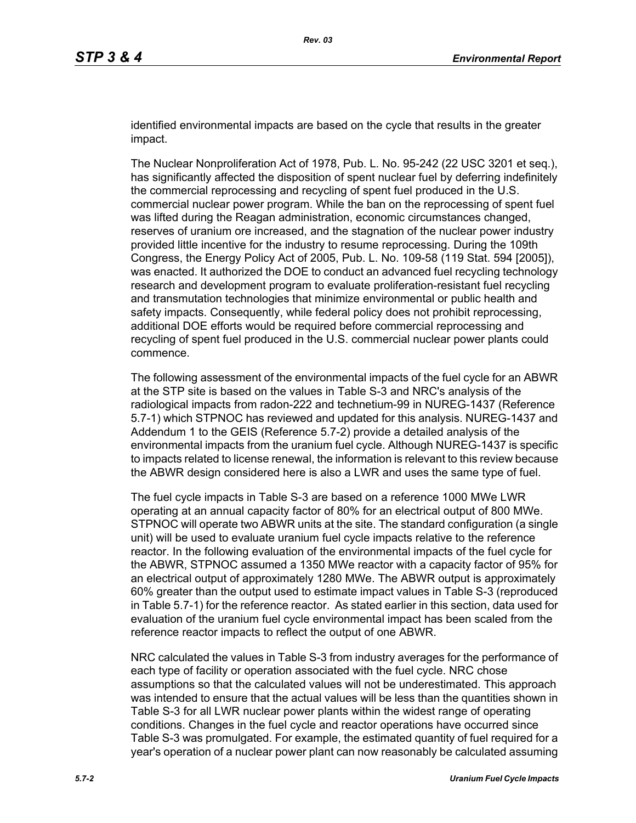identified environmental impacts are based on the cycle that results in the greater impact.

The Nuclear Nonproliferation Act of 1978, Pub. L. No. 95-242 (22 USC 3201 et seq.), has significantly affected the disposition of spent nuclear fuel by deferring indefinitely the commercial reprocessing and recycling of spent fuel produced in the U.S. commercial nuclear power program. While the ban on the reprocessing of spent fuel was lifted during the Reagan administration, economic circumstances changed, reserves of uranium ore increased, and the stagnation of the nuclear power industry provided little incentive for the industry to resume reprocessing. During the 109th Congress, the Energy Policy Act of 2005, Pub. L. No. 109-58 (119 Stat. 594 [2005]), was enacted. It authorized the DOE to conduct an advanced fuel recycling technology research and development program to evaluate proliferation-resistant fuel recycling and transmutation technologies that minimize environmental or public health and safety impacts. Consequently, while federal policy does not prohibit reprocessing, additional DOE efforts would be required before commercial reprocessing and recycling of spent fuel produced in the U.S. commercial nuclear power plants could commence.

The following assessment of the environmental impacts of the fuel cycle for an ABWR at the STP site is based on the values in Table S-3 and NRC's analysis of the radiological impacts from radon-222 and technetium-99 in NUREG-1437 (Reference 5.7-1) which STPNOC has reviewed and updated for this analysis. NUREG-1437 and Addendum 1 to the GEIS (Reference 5.7-2) provide a detailed analysis of the environmental impacts from the uranium fuel cycle. Although NUREG-1437 is specific to impacts related to license renewal, the information is relevant to this review because the ABWR design considered here is also a LWR and uses the same type of fuel.

The fuel cycle impacts in Table S-3 are based on a reference 1000 MWe LWR operating at an annual capacity factor of 80% for an electrical output of 800 MWe. STPNOC will operate two ABWR units at the site. The standard configuration (a single unit) will be used to evaluate uranium fuel cycle impacts relative to the reference reactor. In the following evaluation of the environmental impacts of the fuel cycle for the ABWR, STPNOC assumed a 1350 MWe reactor with a capacity factor of 95% for an electrical output of approximately 1280 MWe. The ABWR output is approximately 60% greater than the output used to estimate impact values in Table S-3 (reproduced in Table 5.7-1) for the reference reactor. As stated earlier in this section, data used for evaluation of the uranium fuel cycle environmental impact has been scaled from the reference reactor impacts to reflect the output of one ABWR.

NRC calculated the values in Table S-3 from industry averages for the performance of each type of facility or operation associated with the fuel cycle. NRC chose assumptions so that the calculated values will not be underestimated. This approach was intended to ensure that the actual values will be less than the quantities shown in Table S-3 for all LWR nuclear power plants within the widest range of operating conditions. Changes in the fuel cycle and reactor operations have occurred since Table S-3 was promulgated. For example, the estimated quantity of fuel required for a year's operation of a nuclear power plant can now reasonably be calculated assuming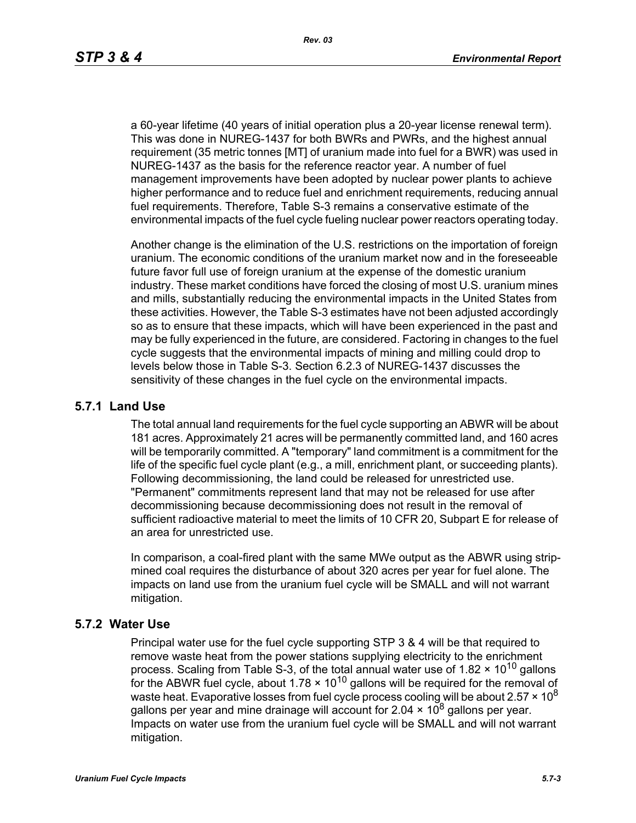a 60-year lifetime (40 years of initial operation plus a 20-year license renewal term). This was done in NUREG-1437 for both BWRs and PWRs, and the highest annual requirement (35 metric tonnes [MT] of uranium made into fuel for a BWR) was used in NUREG-1437 as the basis for the reference reactor year. A number of fuel management improvements have been adopted by nuclear power plants to achieve higher performance and to reduce fuel and enrichment requirements, reducing annual fuel requirements. Therefore, Table S-3 remains a conservative estimate of the environmental impacts of the fuel cycle fueling nuclear power reactors operating today.

Another change is the elimination of the U.S. restrictions on the importation of foreign uranium. The economic conditions of the uranium market now and in the foreseeable future favor full use of foreign uranium at the expense of the domestic uranium industry. These market conditions have forced the closing of most U.S. uranium mines and mills, substantially reducing the environmental impacts in the United States from these activities. However, the Table S-3 estimates have not been adjusted accordingly so as to ensure that these impacts, which will have been experienced in the past and may be fully experienced in the future, are considered. Factoring in changes to the fuel cycle suggests that the environmental impacts of mining and milling could drop to levels below those in Table S-3. Section 6.2.3 of NUREG-1437 discusses the sensitivity of these changes in the fuel cycle on the environmental impacts.

### **5.7.1 Land Use**

The total annual land requirements for the fuel cycle supporting an ABWR will be about 181 acres. Approximately 21 acres will be permanently committed land, and 160 acres will be temporarily committed. A "temporary" land commitment is a commitment for the life of the specific fuel cycle plant (e.g., a mill, enrichment plant, or succeeding plants). Following decommissioning, the land could be released for unrestricted use. "Permanent" commitments represent land that may not be released for use after decommissioning because decommissioning does not result in the removal of sufficient radioactive material to meet the limits of 10 CFR 20, Subpart E for release of an area for unrestricted use.

In comparison, a coal-fired plant with the same MWe output as the ABWR using stripmined coal requires the disturbance of about 320 acres per year for fuel alone. The impacts on land use from the uranium fuel cycle will be SMALL and will not warrant mitigation.

### **5.7.2 Water Use**

Principal water use for the fuel cycle supporting STP 3 & 4 will be that required to remove waste heat from the power stations supplying electricity to the enrichment process. Scaling from Table S-3, of the total annual water use of 1.82  $\times$  10<sup>10</sup> gallons for the ABWR fuel cycle, about  $1.78 \times 10^{10}$  gallons will be required for the removal of waste heat. Evaporative losses from fuel cycle process cooling will be about  $2.57 \times 10^8$ gallons per year and mine drainage will account for 2.04  $\times$  10<sup>8</sup> gallons per year. Impacts on water use from the uranium fuel cycle will be SMALL and will not warrant mitigation.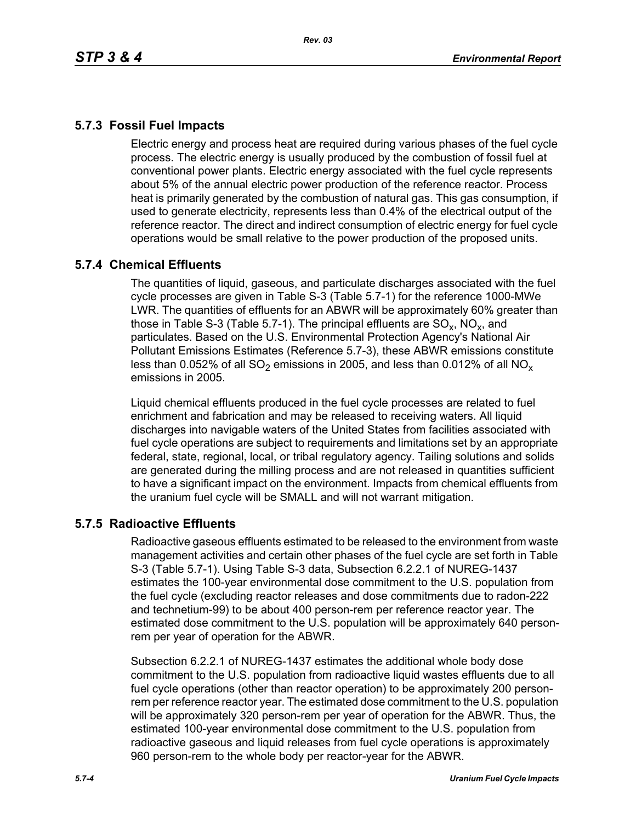## **5.7.3 Fossil Fuel Impacts**

Electric energy and process heat are required during various phases of the fuel cycle process. The electric energy is usually produced by the combustion of fossil fuel at conventional power plants. Electric energy associated with the fuel cycle represents about 5% of the annual electric power production of the reference reactor. Process heat is primarily generated by the combustion of natural gas. This gas consumption, if used to generate electricity, represents less than 0.4% of the electrical output of the reference reactor. The direct and indirect consumption of electric energy for fuel cycle operations would be small relative to the power production of the proposed units.

## **5.7.4 Chemical Effluents**

The quantities of liquid, gaseous, and particulate discharges associated with the fuel cycle processes are given in Table S-3 (Table 5.7-1) for the reference 1000-MWe LWR. The quantities of effluents for an ABWR will be approximately 60% greater than those in Table S-3 (Table 5.7-1). The principal effluents are  $SO_x$ , NO<sub>x</sub>, and particulates. Based on the U.S. Environmental Protection Agency's National Air Pollutant Emissions Estimates (Reference 5.7-3), these ABWR emissions constitute less than 0.052% of all  $SO_2$  emissions in 2005, and less than 0.012% of all  $NO_x$ emissions in 2005.

Liquid chemical effluents produced in the fuel cycle processes are related to fuel enrichment and fabrication and may be released to receiving waters. All liquid discharges into navigable waters of the United States from facilities associated with fuel cycle operations are subject to requirements and limitations set by an appropriate federal, state, regional, local, or tribal regulatory agency. Tailing solutions and solids are generated during the milling process and are not released in quantities sufficient to have a significant impact on the environment. Impacts from chemical effluents from the uranium fuel cycle will be SMALL and will not warrant mitigation.

## **5.7.5 Radioactive Effluents**

Radioactive gaseous effluents estimated to be released to the environment from waste management activities and certain other phases of the fuel cycle are set forth in Table S-3 (Table 5.7-1). Using Table S-3 data, Subsection 6.2.2.1 of NUREG-1437 estimates the 100-year environmental dose commitment to the U.S. population from the fuel cycle (excluding reactor releases and dose commitments due to radon-222 and technetium-99) to be about 400 person-rem per reference reactor year. The estimated dose commitment to the U.S. population will be approximately 640 personrem per year of operation for the ABWR.

Subsection 6.2.2.1 of NUREG-1437 estimates the additional whole body dose commitment to the U.S. population from radioactive liquid wastes effluents due to all fuel cycle operations (other than reactor operation) to be approximately 200 personrem per reference reactor year. The estimated dose commitment to the U.S. population will be approximately 320 person-rem per year of operation for the ABWR. Thus, the estimated 100-year environmental dose commitment to the U.S. population from radioactive gaseous and liquid releases from fuel cycle operations is approximately 960 person-rem to the whole body per reactor-year for the ABWR.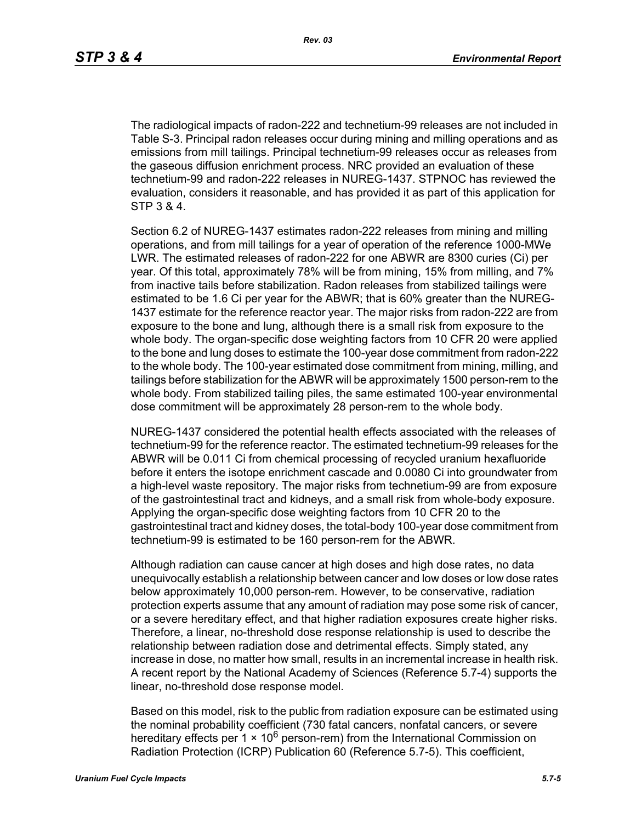The radiological impacts of radon-222 and technetium-99 releases are not included in Table S-3. Principal radon releases occur during mining and milling operations and as emissions from mill tailings. Principal technetium-99 releases occur as releases from the gaseous diffusion enrichment process. NRC provided an evaluation of these technetium-99 and radon-222 releases in NUREG-1437. STPNOC has reviewed the evaluation, considers it reasonable, and has provided it as part of this application for STP 3 & 4.

Section 6.2 of NUREG-1437 estimates radon-222 releases from mining and milling operations, and from mill tailings for a year of operation of the reference 1000-MWe LWR. The estimated releases of radon-222 for one ABWR are 8300 curies (Ci) per year. Of this total, approximately 78% will be from mining, 15% from milling, and 7% from inactive tails before stabilization. Radon releases from stabilized tailings were estimated to be 1.6 Ci per year for the ABWR; that is 60% greater than the NUREG-1437 estimate for the reference reactor year. The major risks from radon-222 are from exposure to the bone and lung, although there is a small risk from exposure to the whole body. The organ-specific dose weighting factors from 10 CFR 20 were applied to the bone and lung doses to estimate the 100-year dose commitment from radon-222 to the whole body. The 100-year estimated dose commitment from mining, milling, and tailings before stabilization for the ABWR will be approximately 1500 person-rem to the whole body. From stabilized tailing piles, the same estimated 100-year environmental dose commitment will be approximately 28 person-rem to the whole body.

NUREG-1437 considered the potential health effects associated with the releases of technetium-99 for the reference reactor. The estimated technetium-99 releases for the ABWR will be 0.011 Ci from chemical processing of recycled uranium hexafluoride before it enters the isotope enrichment cascade and 0.0080 Ci into groundwater from a high-level waste repository. The major risks from technetium-99 are from exposure of the gastrointestinal tract and kidneys, and a small risk from whole-body exposure. Applying the organ-specific dose weighting factors from 10 CFR 20 to the gastrointestinal tract and kidney doses, the total-body 100-year dose commitment from technetium-99 is estimated to be 160 person-rem for the ABWR.

Although radiation can cause cancer at high doses and high dose rates, no data unequivocally establish a relationship between cancer and low doses or low dose rates below approximately 10,000 person-rem. However, to be conservative, radiation protection experts assume that any amount of radiation may pose some risk of cancer, or a severe hereditary effect, and that higher radiation exposures create higher risks. Therefore, a linear, no-threshold dose response relationship is used to describe the relationship between radiation dose and detrimental effects. Simply stated, any increase in dose, no matter how small, results in an incremental increase in health risk. A recent report by the National Academy of Sciences (Reference 5.7-4) supports the linear, no-threshold dose response model.

Based on this model, risk to the public from radiation exposure can be estimated using the nominal probability coefficient (730 fatal cancers, nonfatal cancers, or severe hereditary effects per 1  $\times$  10<sup>6</sup> person-rem) from the International Commission on Radiation Protection (ICRP) Publication 60 (Reference 5.7-5). This coefficient,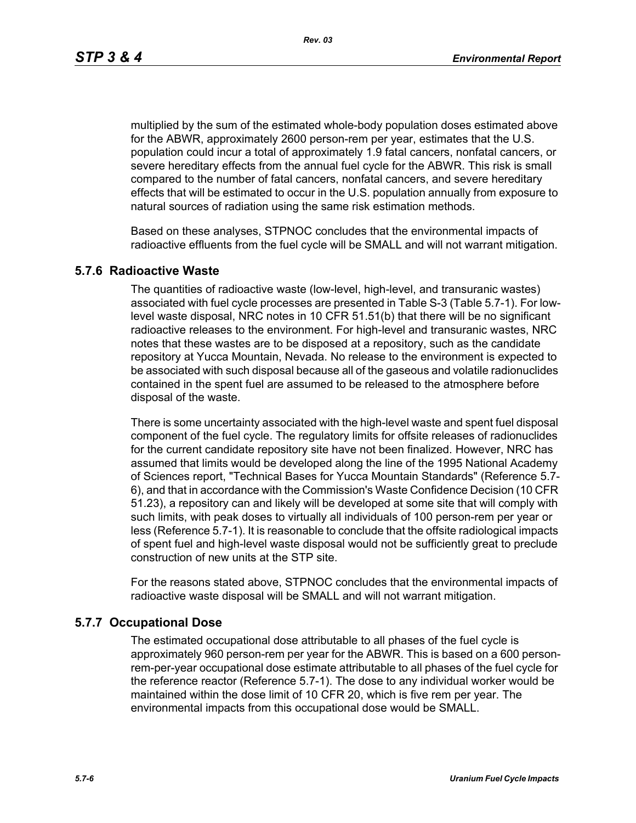*Rev. 03*

multiplied by the sum of the estimated whole-body population doses estimated above for the ABWR, approximately 2600 person-rem per year, estimates that the U.S. population could incur a total of approximately 1.9 fatal cancers, nonfatal cancers, or severe hereditary effects from the annual fuel cycle for the ABWR. This risk is small compared to the number of fatal cancers, nonfatal cancers, and severe hereditary effects that will be estimated to occur in the U.S. population annually from exposure to natural sources of radiation using the same risk estimation methods.

Based on these analyses, STPNOC concludes that the environmental impacts of radioactive effluents from the fuel cycle will be SMALL and will not warrant mitigation.

### **5.7.6 Radioactive Waste**

The quantities of radioactive waste (low-level, high-level, and transuranic wastes) associated with fuel cycle processes are presented in Table S-3 (Table 5.7-1). For lowlevel waste disposal, NRC notes in 10 CFR 51.51(b) that there will be no significant radioactive releases to the environment. For high-level and transuranic wastes, NRC notes that these wastes are to be disposed at a repository, such as the candidate repository at Yucca Mountain, Nevada. No release to the environment is expected to be associated with such disposal because all of the gaseous and volatile radionuclides contained in the spent fuel are assumed to be released to the atmosphere before disposal of the waste.

There is some uncertainty associated with the high-level waste and spent fuel disposal component of the fuel cycle. The regulatory limits for offsite releases of radionuclides for the current candidate repository site have not been finalized. However, NRC has assumed that limits would be developed along the line of the 1995 National Academy of Sciences report, "Technical Bases for Yucca Mountain Standards" (Reference 5.7- 6), and that in accordance with the Commission's Waste Confidence Decision (10 CFR 51.23), a repository can and likely will be developed at some site that will comply with such limits, with peak doses to virtually all individuals of 100 person-rem per year or less (Reference 5.7-1). It is reasonable to conclude that the offsite radiological impacts of spent fuel and high-level waste disposal would not be sufficiently great to preclude construction of new units at the STP site.

For the reasons stated above, STPNOC concludes that the environmental impacts of radioactive waste disposal will be SMALL and will not warrant mitigation.

## **5.7.7 Occupational Dose**

The estimated occupational dose attributable to all phases of the fuel cycle is approximately 960 person-rem per year for the ABWR. This is based on a 600 personrem-per-year occupational dose estimate attributable to all phases of the fuel cycle for the reference reactor (Reference 5.7-1). The dose to any individual worker would be maintained within the dose limit of 10 CFR 20, which is five rem per year. The environmental impacts from this occupational dose would be SMALL.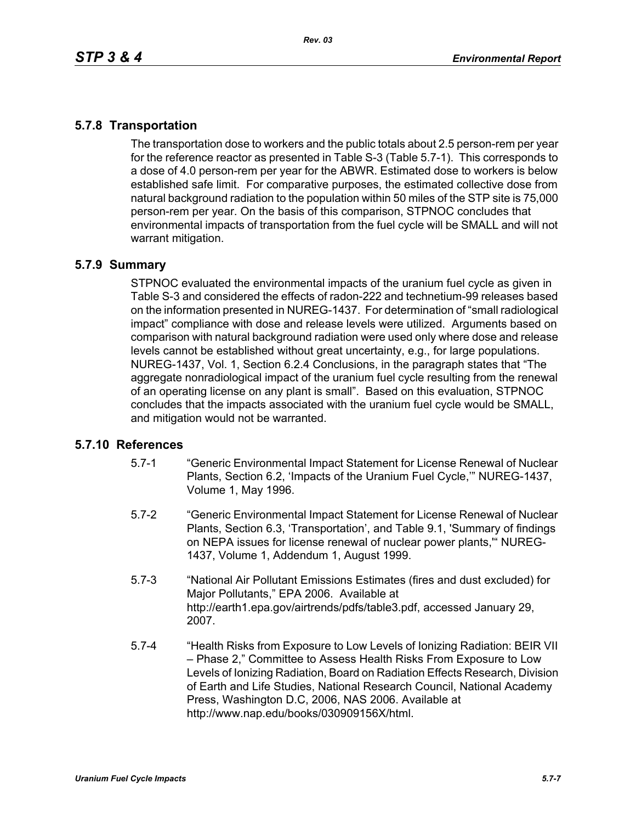## **5.7.8 Transportation**

The transportation dose to workers and the public totals about 2.5 person-rem per year for the reference reactor as presented in Table S-3 (Table 5.7-1). This corresponds to a dose of 4.0 person-rem per year for the ABWR. Estimated dose to workers is below established safe limit. For comparative purposes, the estimated collective dose from natural background radiation to the population within 50 miles of the STP site is 75,000 person-rem per year. On the basis of this comparison, STPNOC concludes that environmental impacts of transportation from the fuel cycle will be SMALL and will not warrant mitigation.

### **5.7.9 Summary**

STPNOC evaluated the environmental impacts of the uranium fuel cycle as given in Table S-3 and considered the effects of radon-222 and technetium-99 releases based on the information presented in NUREG-1437. For determination of "small radiological impact" compliance with dose and release levels were utilized. Arguments based on comparison with natural background radiation were used only where dose and release levels cannot be established without great uncertainty, e.g., for large populations. NUREG-1437, Vol. 1, Section 6.2.4 Conclusions, in the paragraph states that "The aggregate nonradiological impact of the uranium fuel cycle resulting from the renewal of an operating license on any plant is small". Based on this evaluation, STPNOC concludes that the impacts associated with the uranium fuel cycle would be SMALL, and mitigation would not be warranted.

### **5.7.10 References**

- 5.7-1 "Generic Environmental Impact Statement for License Renewal of Nuclear Plants, Section 6.2, 'Impacts of the Uranium Fuel Cycle,'" NUREG-1437, Volume 1, May 1996.
- 5.7-2 "Generic Environmental Impact Statement for License Renewal of Nuclear Plants, Section 6.3, 'Transportation', and Table 9.1, 'Summary of findings on NEPA issues for license renewal of nuclear power plants,'" NUREG-1437, Volume 1, Addendum 1, August 1999.
- 5.7-3 "National Air Pollutant Emissions Estimates (fires and dust excluded) for Major Pollutants," EPA 2006. Available at http://earth1.epa.gov/airtrends/pdfs/table3.pdf, accessed January 29, 2007.
- 5.7-4 "Health Risks from Exposure to Low Levels of Ionizing Radiation: BEIR VII – Phase 2," Committee to Assess Health Risks From Exposure to Low Levels of Ionizing Radiation, Board on Radiation Effects Research, Division of Earth and Life Studies, National Research Council, National Academy Press, Washington D.C, 2006, NAS 2006. Available at http://www.nap.edu/books/030909156X/html.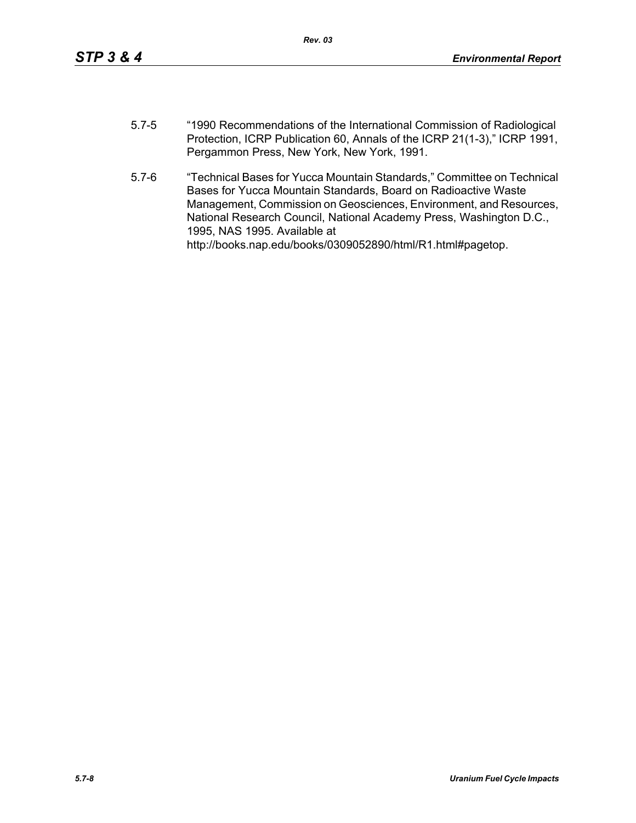- 5.7-5 "1990 Recommendations of the International Commission of Radiological Protection, ICRP Publication 60, Annals of the ICRP 21(1-3)," ICRP 1991, Pergammon Press, New York, New York, 1991.
- 5.7-6 "Technical Bases for Yucca Mountain Standards," Committee on Technical Bases for Yucca Mountain Standards, Board on Radioactive Waste Management, Commission on Geosciences, Environment, and Resources, National Research Council, National Academy Press, Washington D.C., 1995, NAS 1995. Available at http://books.nap.edu/books/0309052890/html/R1.html#pagetop.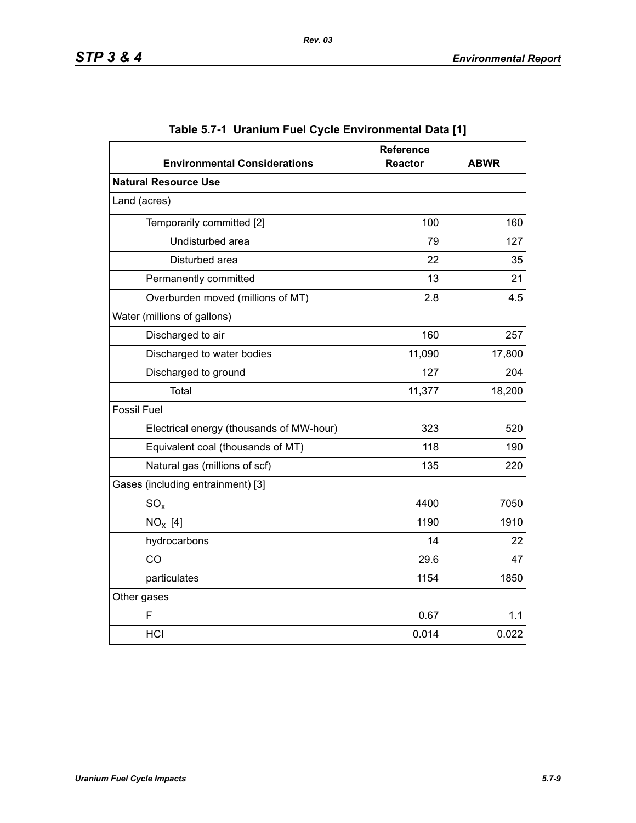| <b>Environmental Considerations</b>      | <b>Reference</b><br><b>Reactor</b> | <b>ABWR</b> |
|------------------------------------------|------------------------------------|-------------|
| <b>Natural Resource Use</b>              |                                    |             |
| Land (acres)                             |                                    |             |
| Temporarily committed [2]                | 100                                | 160         |
| Undisturbed area                         | 79                                 | 127         |
| Disturbed area                           | 22                                 | 35          |
| Permanently committed                    | 13                                 | 21          |
| Overburden moved (millions of MT)        | 2.8                                | 4.5         |
| Water (millions of gallons)              |                                    |             |
| Discharged to air                        | 160                                | 257         |
| Discharged to water bodies               | 11,090                             | 17,800      |
| Discharged to ground                     | 127                                | 204         |
| Total                                    | 11,377                             | 18,200      |
| <b>Fossil Fuel</b>                       |                                    |             |
| Electrical energy (thousands of MW-hour) | 323                                | 520         |
| Equivalent coal (thousands of MT)        | 118                                | 190         |
| Natural gas (millions of scf)            | 135                                | 220         |
| Gases (including entrainment) [3]        |                                    |             |
| $SO_{x}$                                 | 4400                               | 7050        |
| $NO_x$ [4]                               | 1190                               | 1910        |
| hydrocarbons                             | 14                                 | 22          |
| CO                                       | 29.6                               | 47          |
| particulates                             | 1154                               | 1850        |
| Other gases                              |                                    |             |
| F                                        | 0.67                               | 1.1         |
| HCI                                      | 0.014                              | 0.022       |

|  |  | Table 5.7-1  Uranium Fuel Cycle Environmental Data [1] |  |
|--|--|--------------------------------------------------------|--|
|--|--|--------------------------------------------------------|--|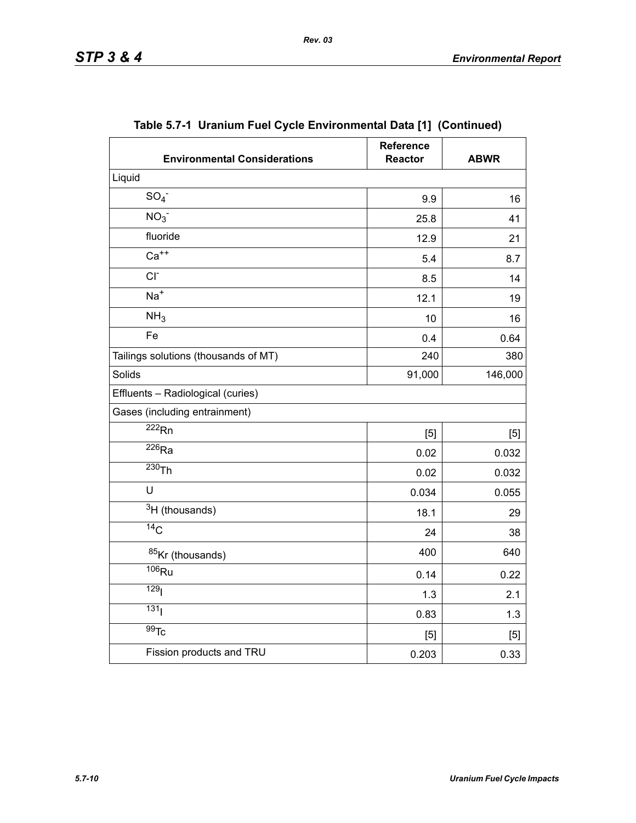| <b>Environmental Considerations</b>  | <b>Reference</b><br><b>Reactor</b> | <b>ABWR</b> |
|--------------------------------------|------------------------------------|-------------|
| Liquid                               |                                    |             |
| SO <sub>4</sub>                      | 9.9                                | 16          |
| NO <sub>3</sub>                      | 25.8                               | 41          |
| fluoride                             | 12.9                               | 21          |
| $Ca++$                               | 5.4                                | 8.7         |
| $CI-$                                | 8.5                                | 14          |
| $Na+$                                | 12.1                               | 19          |
| NH <sub>3</sub>                      | 10                                 | 16          |
| Fe                                   | 0.4                                | 0.64        |
| Tailings solutions (thousands of MT) | 240                                | 380         |
| Solids                               | 91,000                             | 146,000     |
| Effluents - Radiological (curies)    |                                    |             |
| Gases (including entrainment)        |                                    |             |
| $\overline{222}$ Rn                  | [5]                                | [5]         |
| $\overline{^{226}}$ Ra               | 0.02                               | 0.032       |
| $230$ Th                             | 0.02                               | 0.032       |
| U                                    | 0.034                              | 0.055       |
| $3H$ (thousands)                     | 18.1                               | 29          |
| $\overline{^{14}C}$                  | 24                                 | 38          |
| 85Kr (thousands)                     | 400                                | 640         |
| $\overline{106}$ Ru                  | 0.14                               | 0.22        |
| 129 <sub>l</sub>                     | 1.3                                | 2.1         |
| 131                                  | 0.83                               | 1.3         |
| $\overline{99}$ Tc                   | [5]                                | [5]         |
| Fission products and TRU             | 0.203                              | 0.33        |